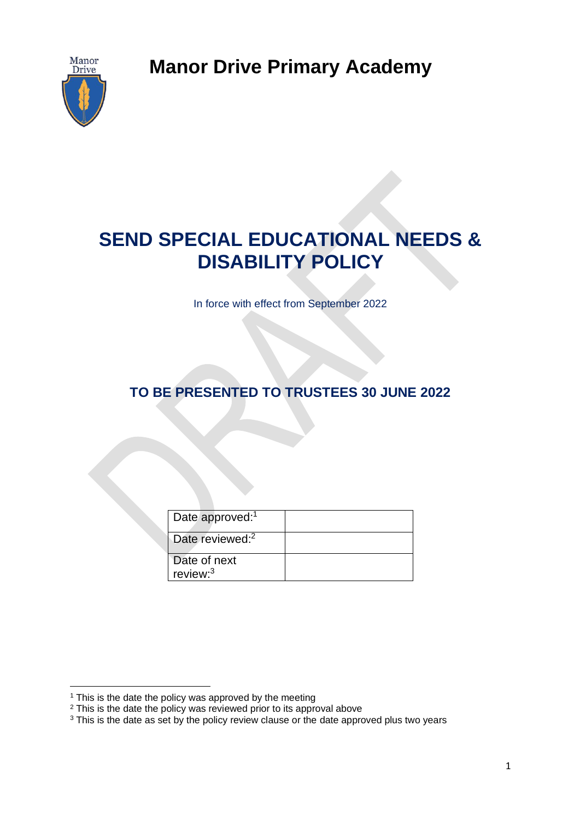**Manor Drive Primary Academy**



# **SEND SPECIAL EDUCATIONAL NEEDS & DISABILITY POLICY**

In force with effect from September 2022

**TO BE PRESENTED TO TRUSTEES 30 JUNE 2022**

| Date approved: <sup>1</sup> |  |
|-----------------------------|--|
| Date reviewed: <sup>2</sup> |  |
| Date of next<br>review: $3$ |  |

<sup>&</sup>lt;sup>1</sup> This is the date the policy was approved by the meeting

<sup>&</sup>lt;sup>2</sup> This is the date the policy was reviewed prior to its approval above

<sup>&</sup>lt;sup>3</sup> This is the date as set by the policy review clause or the date approved plus two years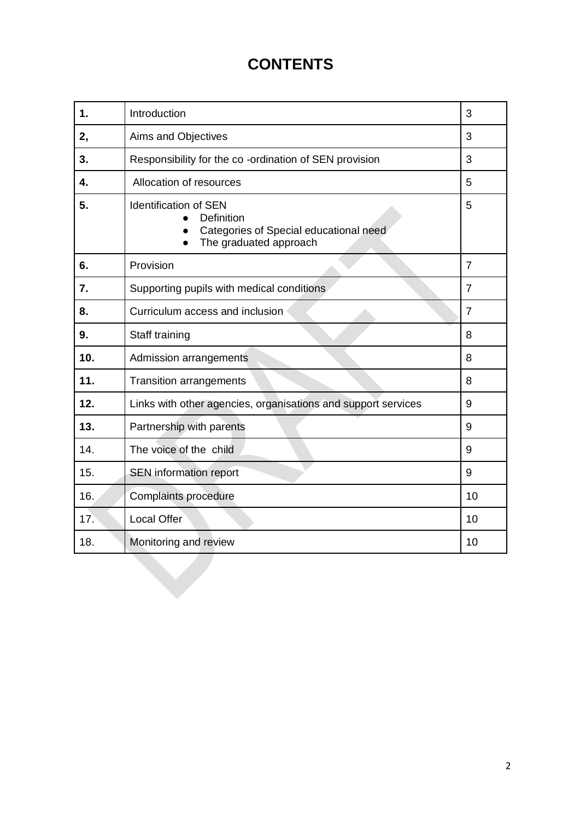# **CONTENTS**

| $\mathbf 1$ . | Introduction                                                                                                   | 3              |
|---------------|----------------------------------------------------------------------------------------------------------------|----------------|
| 2,            | Aims and Objectives                                                                                            | 3              |
| 3.            | Responsibility for the co-ordination of SEN provision                                                          | 3              |
| 4.            | Allocation of resources                                                                                        | 5              |
| 5.            | <b>Identification of SEN</b><br>Definition<br>Categories of Special educational need<br>The graduated approach | 5              |
| 6.            | Provision                                                                                                      | $\overline{7}$ |
| 7.            | Supporting pupils with medical conditions                                                                      | $\overline{7}$ |
| 8.            | Curriculum access and inclusion                                                                                | $\overline{7}$ |
| 9.            | Staff training                                                                                                 | 8              |
| 10.           | Admission arrangements                                                                                         | 8              |
| 11.           | <b>Transition arrangements</b>                                                                                 | 8              |
| 12.           | Links with other agencies, organisations and support services                                                  | 9              |
| 13.           | Partnership with parents                                                                                       | 9              |
| 14.           | The voice of the child                                                                                         | 9              |
| 15.           | SEN information report                                                                                         | 9              |
| 16.           | Complaints procedure                                                                                           | 10             |
| 17.           | <b>Local Offer</b>                                                                                             | 10             |
| 18.           | Monitoring and review                                                                                          | 10             |
|               |                                                                                                                |                |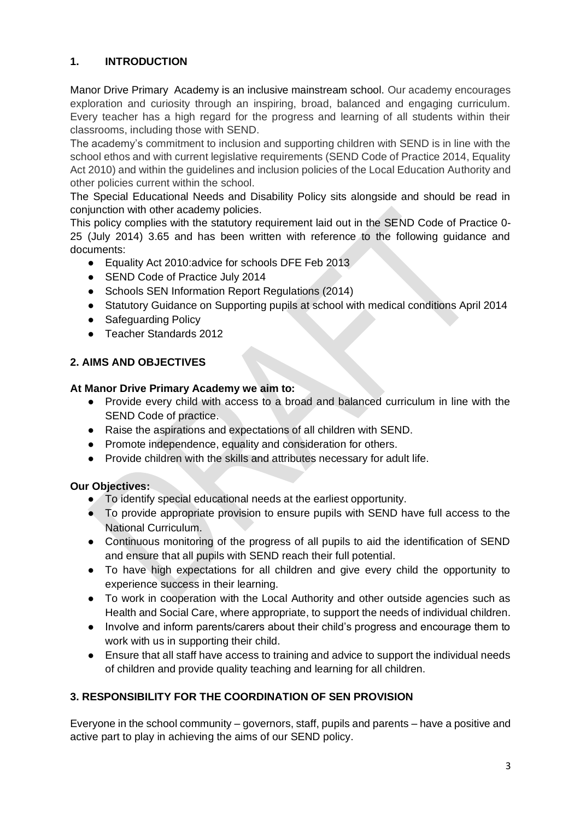# **1. INTRODUCTION**

Manor Drive Primary Academy is an inclusive mainstream school. Our academy encourages exploration and curiosity through an inspiring, broad, balanced and engaging curriculum. Every teacher has a high regard for the progress and learning of all students within their classrooms, including those with SEND.

The academy's commitment to inclusion and supporting children with SEND is in line with the school ethos and with current legislative requirements (SEND Code of Practice 2014, Equality Act 2010) and within the guidelines and inclusion policies of the Local Education Authority and other policies current within the school.

The Special Educational Needs and Disability Policy sits alongside and should be read in conjunction with other academy policies.

This policy complies with the statutory requirement laid out in the SEND Code of Practice 0- 25 (July 2014) 3.65 and has been written with reference to the following guidance and documents:

- Equality Act 2010: advice for schools DFE Feb 2013
- SEND Code of Practice July 2014
- Schools SEN Information Report Regulations (2014)
- Statutory Guidance on Supporting pupils at school with medical conditions April 2014
- Safeguarding Policy
- Teacher Standards 2012

#### **2. AIMS AND OBJECTIVES**

#### **At Manor Drive Primary Academy we aim to:**

- Provide every child with access to a broad and balanced curriculum in line with the SEND Code of practice.
- Raise the aspirations and expectations of all children with SEND.
- Promote independence, equality and consideration for others.
- Provide children with the skills and attributes necessary for adult life.

#### **Our Objectives:**

- To identify special educational needs at the earliest opportunity.
- To provide appropriate provision to ensure pupils with SEND have full access to the National Curriculum.
- Continuous monitoring of the progress of all pupils to aid the identification of SEND and ensure that all pupils with SEND reach their full potential.
- To have high expectations for all children and give every child the opportunity to experience success in their learning.
- To work in cooperation with the Local Authority and other outside agencies such as Health and Social Care, where appropriate, to support the needs of individual children.
- Involve and inform parents/carers about their child's progress and encourage them to work with us in supporting their child.
- Ensure that all staff have access to training and advice to support the individual needs of children and provide quality teaching and learning for all children.

# **3. RESPONSIBILITY FOR THE COORDINATION OF SEN PROVISION**

Everyone in the school community – governors, staff, pupils and parents – have a positive and active part to play in achieving the aims of our SEND policy.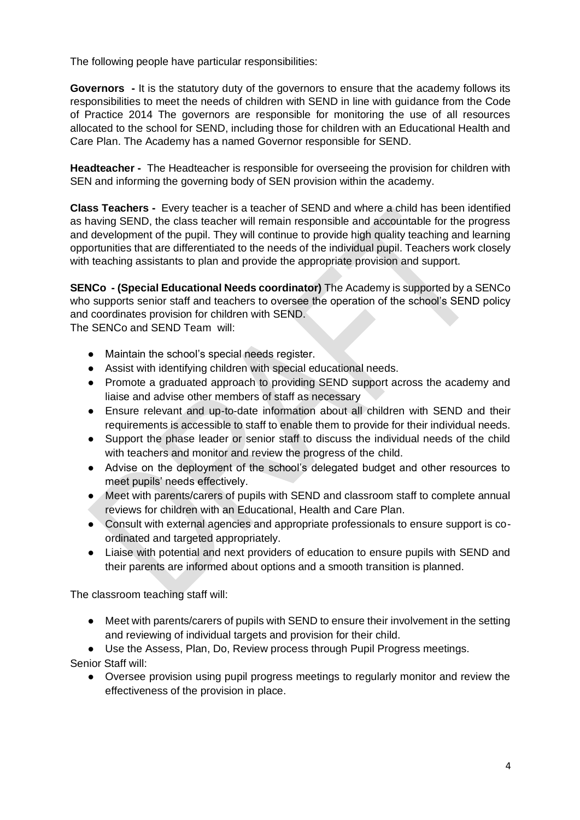The following people have particular responsibilities:

**Governors -** It is the statutory duty of the governors to ensure that the academy follows its responsibilities to meet the needs of children with SEND in line with guidance from the Code of Practice 2014 The governors are responsible for monitoring the use of all resources allocated to the school for SEND, including those for children with an Educational Health and Care Plan. The Academy has a named Governor responsible for SEND.

**Headteacher -** The Headteacher is responsible for overseeing the provision for children with SEN and informing the governing body of SEN provision within the academy.

**Class Teachers -** Every teacher is a teacher of SEND and where a child has been identified as having SEND, the class teacher will remain responsible and accountable for the progress and development of the pupil. They will continue to provide high quality teaching and learning opportunities that are differentiated to the needs of the individual pupil. Teachers work closely with teaching assistants to plan and provide the appropriate provision and support.

**SENCo - (Special Educational Needs coordinator)** The Academy is supported by a SENCo who supports senior staff and teachers to oversee the operation of the school's SEND policy and coordinates provision for children with SEND.

The SENCo and SEND Team will:

- Maintain the school's special needs register.
- Assist with identifying children with special educational needs.
- Promote a graduated approach to providing SEND support across the academy and liaise and advise other members of staff as necessary
- Ensure relevant and up-to-date information about all children with SEND and their requirements is accessible to staff to enable them to provide for their individual needs.
- Support the phase leader or senior staff to discuss the individual needs of the child with teachers and monitor and review the progress of the child.
- Advise on the deployment of the school's delegated budget and other resources to meet pupils' needs effectively.
- Meet with parents/carers of pupils with SEND and classroom staff to complete annual reviews for children with an Educational, Health and Care Plan.
- Consult with external agencies and appropriate professionals to ensure support is coordinated and targeted appropriately.
- Liaise with potential and next providers of education to ensure pupils with SEND and their parents are informed about options and a smooth transition is planned.

The classroom teaching staff will:

- Meet with parents/carers of pupils with SEND to ensure their involvement in the setting and reviewing of individual targets and provision for their child.
- Use the Assess, Plan, Do, Review process through Pupil Progress meetings.

Senior Staff will:

● Oversee provision using pupil progress meetings to regularly monitor and review the effectiveness of the provision in place.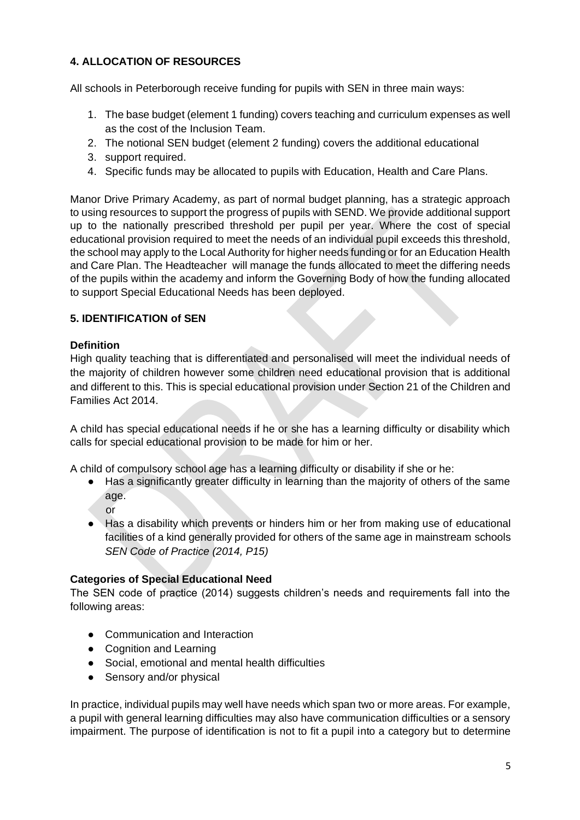# **4. ALLOCATION OF RESOURCES**

All schools in Peterborough receive funding for pupils with SEN in three main ways:

- 1. The base budget (element 1 funding) covers teaching and curriculum expenses as well as the cost of the Inclusion Team.
- 2. The notional SEN budget (element 2 funding) covers the additional educational
- 3. support required.
- 4. Specific funds may be allocated to pupils with Education, Health and Care Plans.

Manor Drive Primary Academy, as part of normal budget planning, has a strategic approach to using resources to support the progress of pupils with SEND. We provide additional support up to the nationally prescribed threshold per pupil per year. Where the cost of special educational provision required to meet the needs of an individual pupil exceeds this threshold, the school may apply to the Local Authority for higher needs funding or for an Education Health and Care Plan. The Headteacher will manage the funds allocated to meet the differing needs of the pupils within the academy and inform the Governing Body of how the funding allocated to support Special Educational Needs has been deployed.

#### **5. IDENTIFICATION of SEN**

#### **Definition**

High quality teaching that is differentiated and personalised will meet the individual needs of the majority of children however some children need educational provision that is additional and different to this. This is special educational provision under Section 21 of the Children and Families Act 2014.

A child has special educational needs if he or she has a learning difficulty or disability which calls for special educational provision to be made for him or her.

A child of compulsory school age has a learning difficulty or disability if she or he:

● Has a significantly greater difficulty in learning than the majority of others of the same age.

or

● Has a disability which prevents or hinders him or her from making use of educational facilities of a kind generally provided for others of the same age in mainstream schools *SEN Code of Practice (2014, P15)* 

#### **Categories of Special Educational Need**

The SEN code of practice (2014) suggests children's needs and requirements fall into the following areas:

- Communication and Interaction
- Cognition and Learning
- Social, emotional and mental health difficulties
- Sensory and/or physical

In practice, individual pupils may well have needs which span two or more areas. For example, a pupil with general learning difficulties may also have communication difficulties or a sensory impairment. The purpose of identification is not to fit a pupil into a category but to determine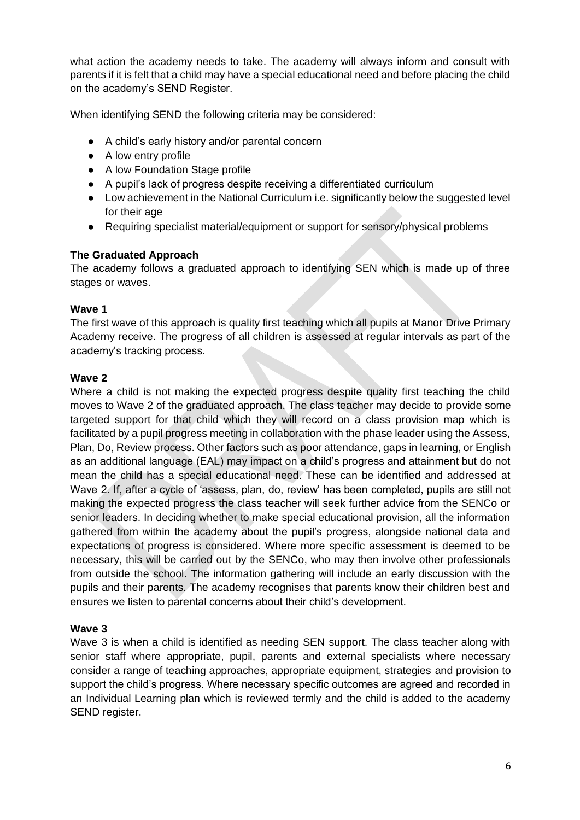what action the academy needs to take. The academy will always inform and consult with parents if it is felt that a child may have a special educational need and before placing the child on the academy's SEND Register.

When identifying SEND the following criteria may be considered:

- A child's early history and/or parental concern
- A low entry profile
- A low Foundation Stage profile
- A pupil's lack of progress despite receiving a differentiated curriculum
- Low achievement in the National Curriculum i.e. significantly below the suggested level for their age
- Requiring specialist material/equipment or support for sensory/physical problems

#### **The Graduated Approach**

The academy follows a graduated approach to identifying SEN which is made up of three stages or waves.

#### **Wave 1**

The first wave of this approach is quality first teaching which all pupils at Manor Drive Primary Academy receive. The progress of all children is assessed at regular intervals as part of the academy's tracking process.

#### **Wave 2**

Where a child is not making the expected progress despite quality first teaching the child moves to Wave 2 of the graduated approach. The class teacher may decide to provide some targeted support for that child which they will record on a class provision map which is facilitated by a pupil progress meeting in collaboration with the phase leader using the Assess, Plan, Do, Review process. Other factors such as poor attendance, gaps in learning, or English as an additional language (EAL) may impact on a child's progress and attainment but do not mean the child has a special educational need. These can be identified and addressed at Wave 2. If, after a cycle of 'assess, plan, do, review' has been completed, pupils are still not making the expected progress the class teacher will seek further advice from the SENCo or senior leaders. In deciding whether to make special educational provision, all the information gathered from within the academy about the pupil's progress, alongside national data and expectations of progress is considered. Where more specific assessment is deemed to be necessary, this will be carried out by the SENCo, who may then involve other professionals from outside the school. The information gathering will include an early discussion with the pupils and their parents. The academy recognises that parents know their children best and ensures we listen to parental concerns about their child's development.

#### **Wave 3**

Wave 3 is when a child is identified as needing SEN support. The class teacher along with senior staff where appropriate, pupil, parents and external specialists where necessary consider a range of teaching approaches, appropriate equipment, strategies and provision to support the child's progress. Where necessary specific outcomes are agreed and recorded in an Individual Learning plan which is reviewed termly and the child is added to the academy SEND register.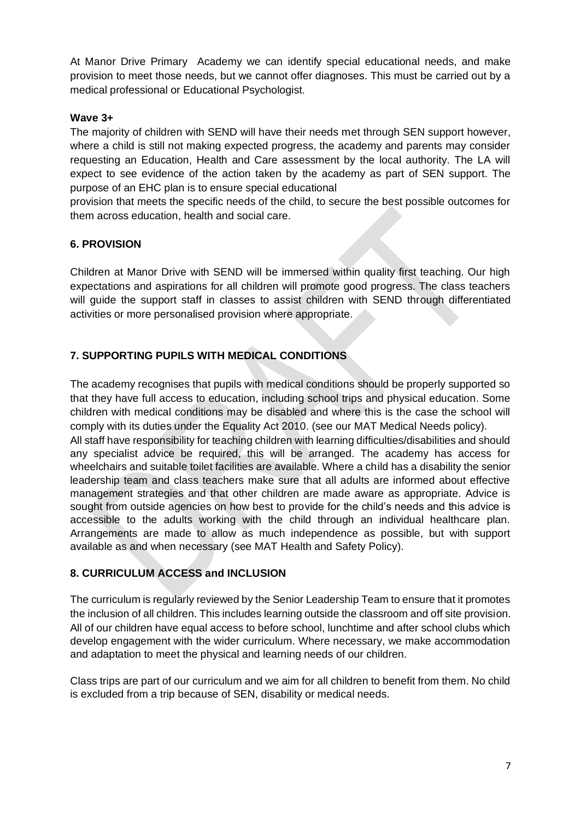At Manor Drive Primary Academy we can identify special educational needs, and make provision to meet those needs, but we cannot offer diagnoses. This must be carried out by a medical professional or Educational Psychologist.

#### **Wave 3+**

The majority of children with SEND will have their needs met through SEN support however, where a child is still not making expected progress, the academy and parents may consider requesting an Education, Health and Care assessment by the local authority. The LA will expect to see evidence of the action taken by the academy as part of SEN support. The purpose of an EHC plan is to ensure special educational

provision that meets the specific needs of the child, to secure the best possible outcomes for them across education, health and social care.

#### **6. PROVISION**

Children at Manor Drive with SEND will be immersed within quality first teaching. Our high expectations and aspirations for all children will promote good progress. The class teachers will guide the support staff in classes to assist children with SEND through differentiated activities or more personalised provision where appropriate.

# **7. SUPPORTING PUPILS WITH MEDICAL CONDITIONS**

The academy recognises that pupils with medical conditions should be properly supported so that they have full access to education, including school trips and physical education. Some children with medical conditions may be disabled and where this is the case the school will comply with its duties under the Equality Act 2010. (see our MAT Medical Needs policy). All staff have responsibility for teaching children with learning difficulties/disabilities and should any specialist advice be required, this will be arranged. The academy has access for wheelchairs and suitable toilet facilities are available. Where a child has a disability the senior leadership team and class teachers make sure that all adults are informed about effective management strategies and that other children are made aware as appropriate. Advice is sought from outside agencies on how best to provide for the child's needs and this advice is accessible to the adults working with the child through an individual healthcare plan. Arrangements are made to allow as much independence as possible, but with support available as and when necessary (see MAT Health and Safety Policy).

#### **8. CURRICULUM ACCESS and INCLUSION**

The curriculum is regularly reviewed by the Senior Leadership Team to ensure that it promotes the inclusion of all children. This includes learning outside the classroom and off site provision. All of our children have equal access to before school, lunchtime and after school clubs which develop engagement with the wider curriculum. Where necessary, we make accommodation and adaptation to meet the physical and learning needs of our children.

Class trips are part of our curriculum and we aim for all children to benefit from them. No child is excluded from a trip because of SEN, disability or medical needs.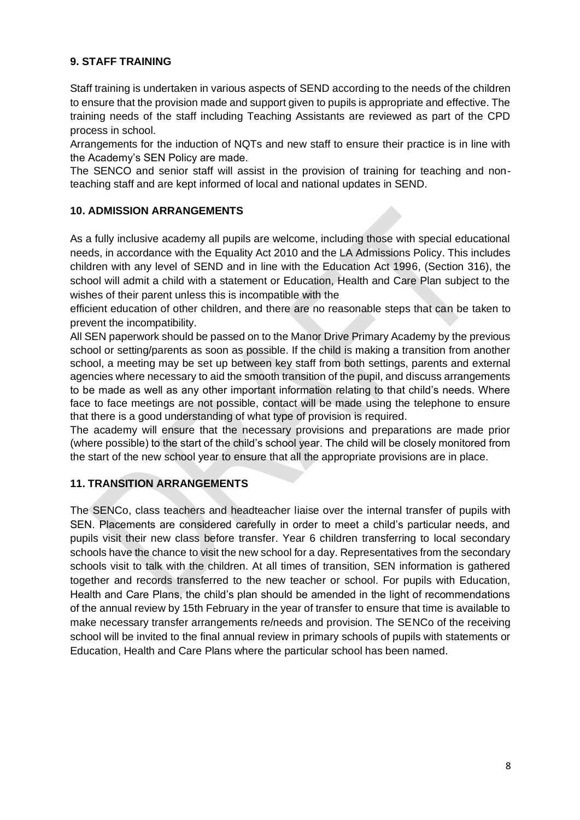#### **9. STAFF TRAINING**

Staff training is undertaken in various aspects of SEND according to the needs of the children to ensure that the provision made and support given to pupils is appropriate and effective. The training needs of the staff including Teaching Assistants are reviewed as part of the CPD process in school.

Arrangements for the induction of NQTs and new staff to ensure their practice is in line with the Academy's SEN Policy are made.

The SENCO and senior staff will assist in the provision of training for teaching and nonteaching staff and are kept informed of local and national updates in SEND.

#### **10. ADMISSION ARRANGEMENTS**

As a fully inclusive academy all pupils are welcome, including those with special educational needs, in accordance with the Equality Act 2010 and the LA Admissions Policy. This includes children with any level of SEND and in line with the Education Act 1996, (Section 316), the school will admit a child with a statement or Education, Health and Care Plan subject to the wishes of their parent unless this is incompatible with the

efficient education of other children, and there are no reasonable steps that can be taken to prevent the incompatibility.

All SEN paperwork should be passed on to the Manor Drive Primary Academy by the previous school or setting/parents as soon as possible. If the child is making a transition from another school, a meeting may be set up between key staff from both settings, parents and external agencies where necessary to aid the smooth transition of the pupil, and discuss arrangements to be made as well as any other important information relating to that child's needs. Where face to face meetings are not possible, contact will be made using the telephone to ensure that there is a good understanding of what type of provision is required.

The academy will ensure that the necessary provisions and preparations are made prior (where possible) to the start of the child's school year. The child will be closely monitored from the start of the new school year to ensure that all the appropriate provisions are in place.

#### **11. TRANSITION ARRANGEMENTS**

The SENCo, class teachers and headteacher liaise over the internal transfer of pupils with SEN. Placements are considered carefully in order to meet a child's particular needs, and pupils visit their new class before transfer. Year 6 children transferring to local secondary schools have the chance to visit the new school for a day. Representatives from the secondary schools visit to talk with the children. At all times of transition, SEN information is gathered together and records transferred to the new teacher or school. For pupils with Education, Health and Care Plans, the child's plan should be amended in the light of recommendations of the annual review by 15th February in the year of transfer to ensure that time is available to make necessary transfer arrangements re/needs and provision. The SENCo of the receiving school will be invited to the final annual review in primary schools of pupils with statements or Education, Health and Care Plans where the particular school has been named.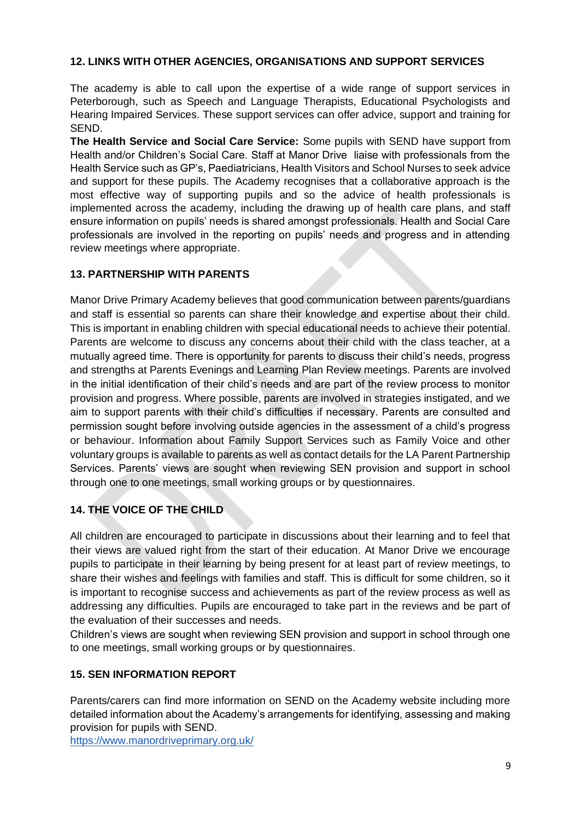#### **12. LINKS WITH OTHER AGENCIES, ORGANISATIONS AND SUPPORT SERVICES**

The academy is able to call upon the expertise of a wide range of support services in Peterborough, such as Speech and Language Therapists, Educational Psychologists and Hearing Impaired Services. These support services can offer advice, support and training for SEND.

**The Health Service and Social Care Service:** Some pupils with SEND have support from Health and/or Children's Social Care. Staff at Manor Drive liaise with professionals from the Health Service such as GP's, Paediatricians, Health Visitors and School Nurses to seek advice and support for these pupils. The Academy recognises that a collaborative approach is the most effective way of supporting pupils and so the advice of health professionals is implemented across the academy, including the drawing up of health care plans, and staff ensure information on pupils' needs is shared amongst professionals. Health and Social Care professionals are involved in the reporting on pupils' needs and progress and in attending review meetings where appropriate.

#### **13. PARTNERSHIP WITH PARENTS**

Manor Drive Primary Academy believes that good communication between parents/guardians and staff is essential so parents can share their knowledge and expertise about their child. This is important in enabling children with special educational needs to achieve their potential. Parents are welcome to discuss any concerns about their child with the class teacher, at a mutually agreed time. There is opportunity for parents to discuss their child's needs, progress and strengths at Parents Evenings and Learning Plan Review meetings. Parents are involved in the initial identification of their child's needs and are part of the review process to monitor provision and progress. Where possible, parents are involved in strategies instigated, and we aim to support parents with their child's difficulties if necessary. Parents are consulted and permission sought before involving outside agencies in the assessment of a child's progress or behaviour. Information about Family Support Services such as Family Voice and other voluntary groups is available to parents as well as contact details for the LA Parent Partnership Services. Parents' views are sought when reviewing SEN provision and support in school through one to one meetings, small working groups or by questionnaires.

# **14. THE VOICE OF THE CHILD**

All children are encouraged to participate in discussions about their learning and to feel that their views are valued right from the start of their education. At Manor Drive we encourage pupils to participate in their learning by being present for at least part of review meetings, to share their wishes and feelings with families and staff. This is difficult for some children, so it is important to recognise success and achievements as part of the review process as well as addressing any difficulties. Pupils are encouraged to take part in the reviews and be part of the evaluation of their successes and needs.

Children's views are sought when reviewing SEN provision and support in school through one to one meetings, small working groups or by questionnaires.

#### **15. SEN INFORMATION REPORT**

Parents/carers can find more information on SEND on the Academy website including more detailed information about the Academy's arrangements for identifying, assessing and making provision for pupils with SEND.

<https://www.manordriveprimary.org.uk/>